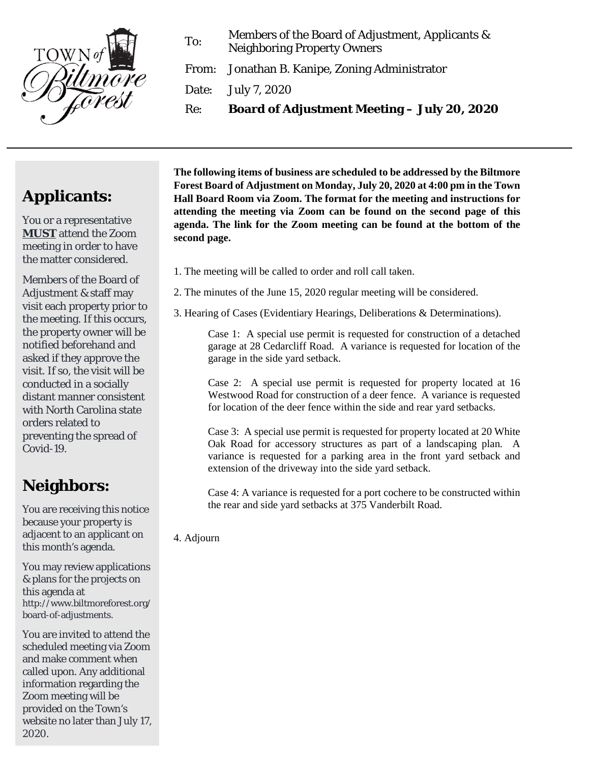

To: Members of the Board of Adjustment, Applicants & Neighboring Property Owners

From: Jonathan B. Kanipe, Zoning Administrator

Date: July 7, 2020

Re: **Board of Adjustment Meeting – July 20, 2020**

## **Applicants:**

You or a representative **MUST** attend the Zoom meeting in order to have the matter considered.

Members of the Board of Adjustment & staff may visit each property prior to the meeting. If this occurs, the property owner will be notified beforehand and asked if they approve the visit. If so, the visit will be conducted in a socially distant manner consistent with North Carolina state orders related to preventing the spread of Covid-19.

## **Neighbors:**

You are receiving this notice because your property is adjacent to an applicant on this month's agenda.

You may review applications & plans for the projects on this agenda at http://www.biltmoreforest.org/ board-of-adjustments.

You are invited to attend the scheduled meeting via Zoom and make comment when called upon. Any additional information regarding the Zoom meeting will be provided on the Town's website no later than July 17, 2020.

**The following items of business are scheduled to be addressed by the Biltmore Forest Board of Adjustment on Monday, July 20, 2020 at 4:00 pm in the Town Hall Board Room via Zoom. The format for the meeting and instructions for attending the meeting via Zoom can be found on the second page of this agenda. The link for the Zoom meeting can be found at the bottom of the second page.**

- 1. The meeting will be called to order and roll call taken.
- 2. The minutes of the June 15, 2020 regular meeting will be considered.
- 3. Hearing of Cases (Evidentiary Hearings, Deliberations & Determinations).

Case 1: A special use permit is requested for construction of a detached garage at 28 Cedarcliff Road. A variance is requested for location of the garage in the side yard setback.

Case 2: A special use permit is requested for property located at 16 Westwood Road for construction of a deer fence. A variance is requested for location of the deer fence within the side and rear yard setbacks.

Case 3: A special use permit is requested for property located at 20 White Oak Road for accessory structures as part of a landscaping plan. A variance is requested for a parking area in the front yard setback and extension of the driveway into the side yard setback.

Case 4: A variance is requested for a port cochere to be constructed within the rear and side yard setbacks at 375 Vanderbilt Road.

4. Adjourn